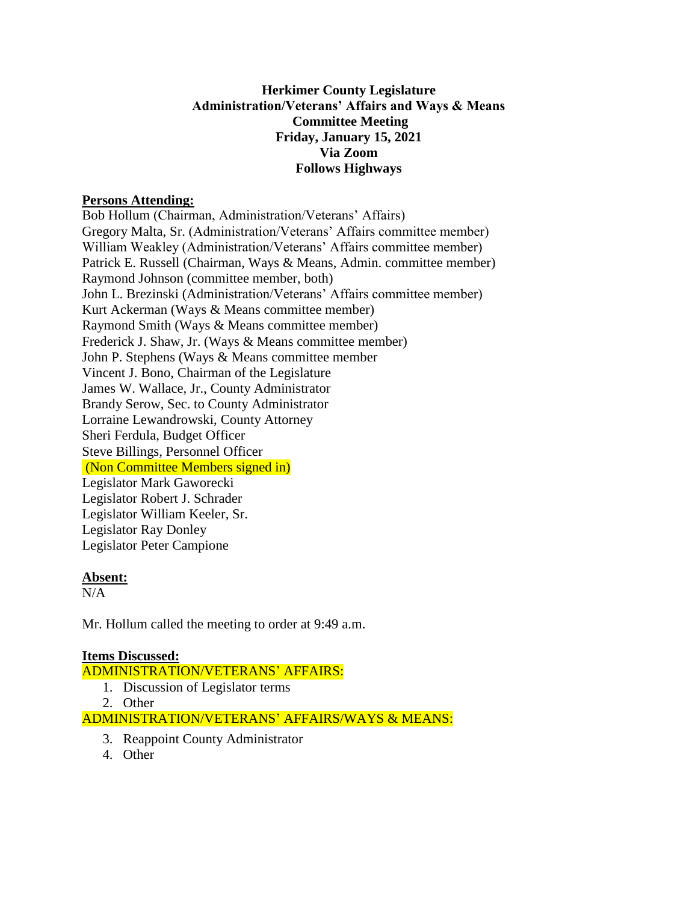# **Herkimer County Legislature Administration/Veterans' Affairs and Ways & Means Committee Meeting Friday, January 15, 2021 Via Zoom Follows Highways**

## **Persons Attending:**

Bob Hollum (Chairman, Administration/Veterans' Affairs) Gregory Malta, Sr. (Administration/Veterans' Affairs committee member) William Weakley (Administration/Veterans' Affairs committee member) Patrick E. Russell (Chairman, Ways & Means, Admin. committee member) Raymond Johnson (committee member, both) John L. Brezinski (Administration/Veterans' Affairs committee member) Kurt Ackerman (Ways & Means committee member) Raymond Smith (Ways & Means committee member) Frederick J. Shaw, Jr. (Ways & Means committee member) John P. Stephens (Ways & Means committee member Vincent J. Bono, Chairman of the Legislature James W. Wallace, Jr., County Administrator Brandy Serow, Sec. to County Administrator Lorraine Lewandrowski, County Attorney Sheri Ferdula, Budget Officer Steve Billings, Personnel Officer (Non Committee Members signed in) Legislator Mark Gaworecki Legislator Robert J. Schrader Legislator William Keeler, Sr. Legislator Ray Donley Legislator Peter Campione

#### **Absent:**

 $N/A$ 

Mr. Hollum called the meeting to order at 9:49 a.m.

# **Items Discussed:**

ADMINISTRATION/VETERANS' AFFAIRS:

- 1. Discussion of Legislator terms
- 2. Other

ADMINISTRATION/VETERANS' AFFAIRS/WAYS & MEANS:

- 3. Reappoint County Administrator
- 4. Other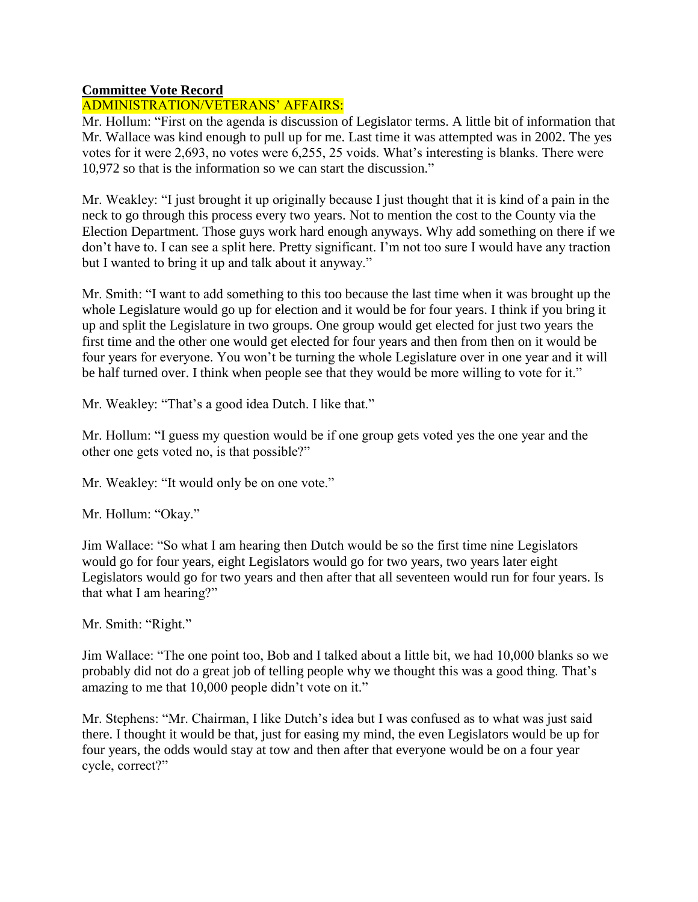## **Committee Vote Record**

# ADMINISTRATION/VETERANS' AFFAIRS:

Mr. Hollum: "First on the agenda is discussion of Legislator terms. A little bit of information that Mr. Wallace was kind enough to pull up for me. Last time it was attempted was in 2002. The yes votes for it were 2,693, no votes were 6,255, 25 voids. What's interesting is blanks. There were 10,972 so that is the information so we can start the discussion."

Mr. Weakley: "I just brought it up originally because I just thought that it is kind of a pain in the neck to go through this process every two years. Not to mention the cost to the County via the Election Department. Those guys work hard enough anyways. Why add something on there if we don't have to. I can see a split here. Pretty significant. I'm not too sure I would have any traction but I wanted to bring it up and talk about it anyway."

Mr. Smith: "I want to add something to this too because the last time when it was brought up the whole Legislature would go up for election and it would be for four years. I think if you bring it up and split the Legislature in two groups. One group would get elected for just two years the first time and the other one would get elected for four years and then from then on it would be four years for everyone. You won't be turning the whole Legislature over in one year and it will be half turned over. I think when people see that they would be more willing to vote for it."

Mr. Weakley: "That's a good idea Dutch. I like that."

Mr. Hollum: "I guess my question would be if one group gets voted yes the one year and the other one gets voted no, is that possible?"

Mr. Weakley: "It would only be on one vote."

Mr. Hollum: "Okay."

Jim Wallace: "So what I am hearing then Dutch would be so the first time nine Legislators would go for four years, eight Legislators would go for two years, two years later eight Legislators would go for two years and then after that all seventeen would run for four years. Is that what I am hearing?"

Mr. Smith: "Right."

Jim Wallace: "The one point too, Bob and I talked about a little bit, we had 10,000 blanks so we probably did not do a great job of telling people why we thought this was a good thing. That's amazing to me that 10,000 people didn't vote on it."

Mr. Stephens: "Mr. Chairman, I like Dutch's idea but I was confused as to what was just said there. I thought it would be that, just for easing my mind, the even Legislators would be up for four years, the odds would stay at tow and then after that everyone would be on a four year cycle, correct?"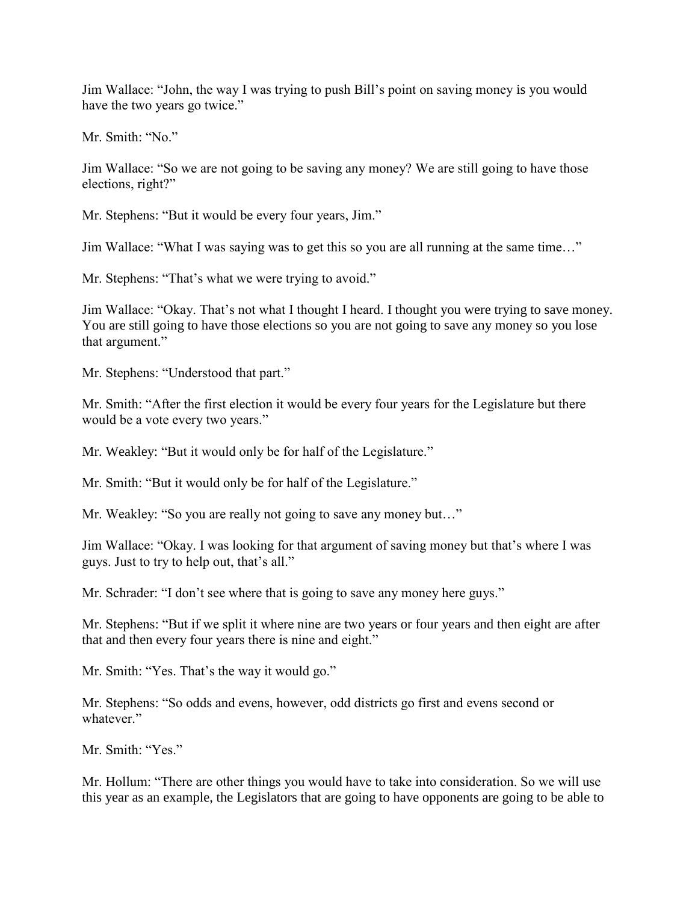Jim Wallace: "John, the way I was trying to push Bill's point on saving money is you would have the two years go twice."

Mr. Smith: "No."

Jim Wallace: "So we are not going to be saving any money? We are still going to have those elections, right?"

Mr. Stephens: "But it would be every four years, Jim."

Jim Wallace: "What I was saying was to get this so you are all running at the same time…"

Mr. Stephens: "That's what we were trying to avoid."

Jim Wallace: "Okay. That's not what I thought I heard. I thought you were trying to save money. You are still going to have those elections so you are not going to save any money so you lose that argument."

Mr. Stephens: "Understood that part."

Mr. Smith: "After the first election it would be every four years for the Legislature but there would be a vote every two years."

Mr. Weakley: "But it would only be for half of the Legislature."

Mr. Smith: "But it would only be for half of the Legislature."

Mr. Weakley: "So you are really not going to save any money but..."

Jim Wallace: "Okay. I was looking for that argument of saving money but that's where I was guys. Just to try to help out, that's all."

Mr. Schrader: "I don't see where that is going to save any money here guys."

Mr. Stephens: "But if we split it where nine are two years or four years and then eight are after that and then every four years there is nine and eight."

Mr. Smith: "Yes. That's the way it would go."

Mr. Stephens: "So odds and evens, however, odd districts go first and evens second or whatever."

Mr. Smith: "Yes."

Mr. Hollum: "There are other things you would have to take into consideration. So we will use this year as an example, the Legislators that are going to have opponents are going to be able to